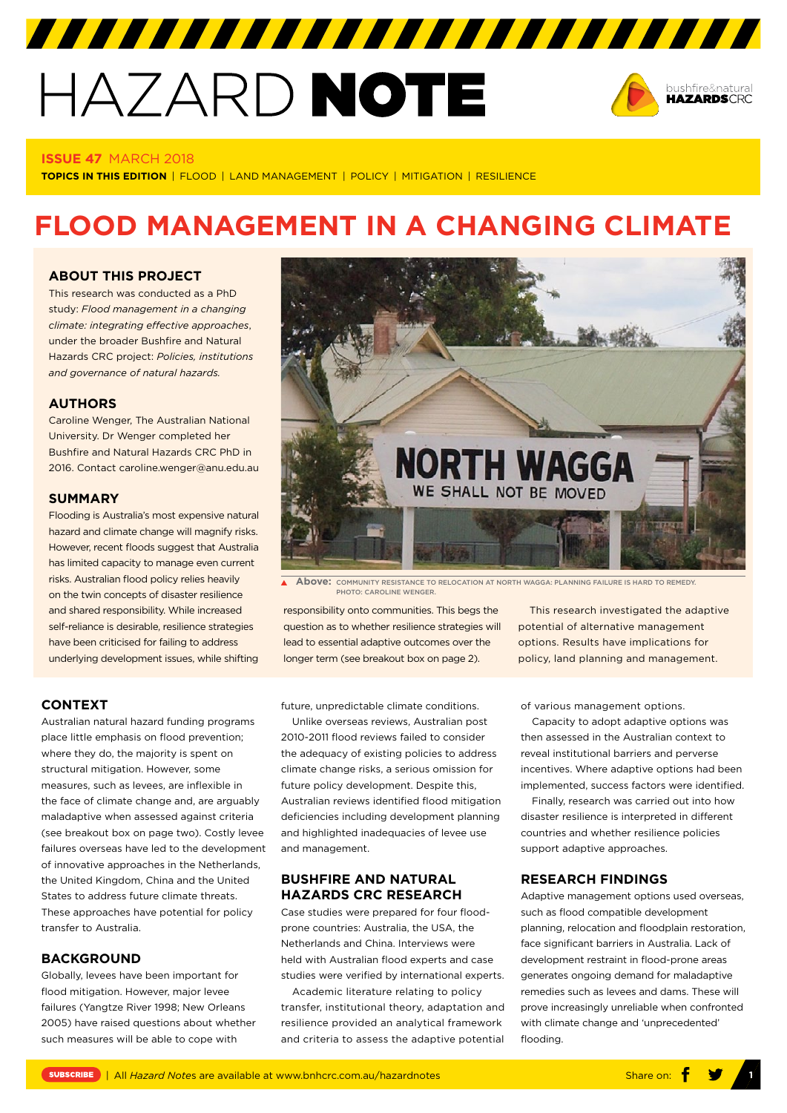# HAZARD NOTE



#### **ISSUE 47** MARCH 2018

**TOPICS IN THIS EDITION** | FLOOD | LAND MANAGEMENT | POLICY | MITIGATION | RESILIENCE

# **FLOOD MANAGEMENT IN A CHANGING CLIMATE**

#### **[ABOUT THIS PROJECT](https://www.bnhcrc.com.au/hazardnotes/47)**

This research was conducted as a PhD study: *Flood management in a changing climate: integrating effective approaches*, under the broader Bushfire and Natural Hazards CRC project: *Policies, institutions and governance of natural hazards.*

#### **AUTHORS**

Caroline Wenger, The Australian National University. Dr Wenger completed her Bushfire and Natural Hazards CRC PhD in 2016. Contact caroline.wenger@anu.edu.au

#### **SUMMARY**

Flooding is Australia's most expensive natural hazard and climate change will magnify risks. However, recent floods suggest that Australia has limited capacity to manage even current risks. Australian flood policy relies heavily on the twin concepts of disaster resilience and shared responsibility. While increased self-reliance is desirable, resilience strategies have been criticised for failing to address underlying development issues, while shifting



**Above:** COMMUNITY RESISTANCE TO RELOCATION AT NORTH WAGGA: PLANNING FAILURE IS HARD TO REMEDY. **PHOTO: CAROLINE WENGER** 

responsibility onto communities. This begs the question as to whether resilience strategies will lead to essential adaptive outcomes over the longer term (see breakout box on page 2).

This research investigated the adaptive potential of alternative management options. Results have implications for policy, land planning and management.

# **CONTEXT**

Australian natural hazard funding programs place little emphasis on flood prevention; where they do, the majority is spent on structural mitigation. However, some measures, such as levees, are inflexible in the face of climate change and, are arguably maladaptive when assessed against criteria (see breakout box on page two). Costly levee failures overseas have led to the development of innovative approaches in the Netherlands, the United Kingdom, China and the United States to address future climate threats. These approaches have potential for policy transfer to Australia.

#### **BACKGROUND**

Globally, levees have been important for flood mitigation. However, major levee failures (Yangtze River 1998; New Orleans 2005) have raised questions about whether such measures will be able to cope with

future, unpredictable climate conditions.

Unlike overseas reviews, Australian post 2010-2011 flood reviews failed to consider the adequacy of existing policies to address climate change risks, a serious omission for future policy development. Despite this, Australian reviews identified flood mitigation deficiencies including development planning and highlighted inadequacies of levee use and management.

# **BUSHFIRE AND NATURAL HAZARDS CRC RESEARCH**

Case studies were prepared for four floodprone countries: Australia, the USA, the Netherlands and China. Interviews were held with Australian flood experts and case studies were verified by international experts.

Academic literature relating to policy transfer, institutional theory, adaptation and resilience provided an analytical framework and criteria to assess the adaptive potential

of various management options.

Capacity to adopt adaptive options was then assessed in the Australian context to reveal institutional barriers and perverse incentives. Where adaptive options had been implemented, success factors were identified.

Finally, research was carried out into how disaster resilience is interpreted in different countries and whether resilience policies support adaptive approaches.

# **RESEARCH FINDINGS**

Adaptive management options used overseas, such as flood compatible development planning, relocation and floodplain restoration, face significant barriers in Australia. Lack of development restraint in flood-prone areas generates ongoing demand for maladaptive remedies such as levees and dams. These will prove increasingly unreliable when confronted with climate change and 'unprecedented' flooding.